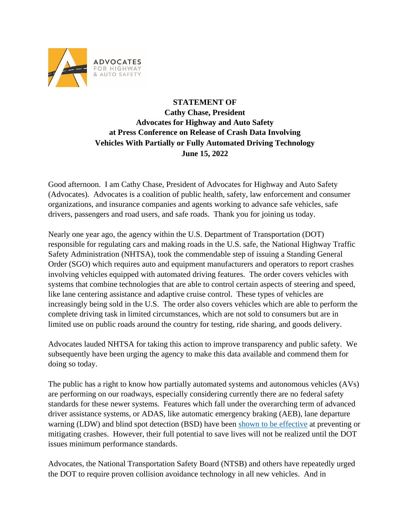

## **STATEMENT OF Cathy Chase, President Advocates for Highway and Auto Safety at Press Conference on Release of Crash Data Involving Vehicles With Partially or Fully Automated Driving Technology June 15, 2022**

Good afternoon. I am Cathy Chase, President of Advocates for Highway and Auto Safety (Advocates). Advocates is a coalition of public health, safety, law enforcement and consumer organizations, and insurance companies and agents working to advance safe vehicles, safe drivers, passengers and road users, and safe roads. Thank you for joining us today.

Nearly one year ago, the agency within the U.S. Department of Transportation (DOT) responsible for regulating cars and making roads in the U.S. safe, the National Highway Traffic Safety Administration (NHTSA), took the commendable step of issuing a Standing General Order (SGO) which requires auto and equipment manufacturers and operators to report crashes involving vehicles equipped with automated driving features. The order covers vehicles with systems that combine technologies that are able to control certain aspects of steering and speed, like lane centering assistance and adaptive cruise control. These types of vehicles are increasingly being sold in the U.S. The order also covers vehicles which are able to perform the complete driving task in limited circumstances, which are not sold to consumers but are in limited use on public roads around the country for testing, ride sharing, and goods delivery.

Advocates lauded NHTSA for taking this action to improve transparency and public safety. We subsequently have been urging the agency to make this data available and commend them for doing so today.

The public has a right to know how partially automated systems and autonomous vehicles (AVs) are performing on our roadways, especially considering currently there are no federal safety standards for these newer systems. Features which fall under the overarching term of advanced driver assistance systems, or ADAS, like automatic emergency braking (AEB), lane departure warning (LDW) and blind spot detection (BSD) have been [shown to be effective](https://www.iihs.org/media/259e5bbd-f859-42a7-bd54-3888f7a2d3ef/e9boUQ/Topics/ADVANCED%20DRIVER%20ASSISTANCE/IIHS-real-world-CA-benefits.pdf) at preventing or mitigating crashes. However, their full potential to save lives will not be realized until the DOT issues minimum performance standards.

Advocates, the National Transportation Safety Board (NTSB) and others have repeatedly urged the DOT to require proven collision avoidance technology in all new vehicles. And in